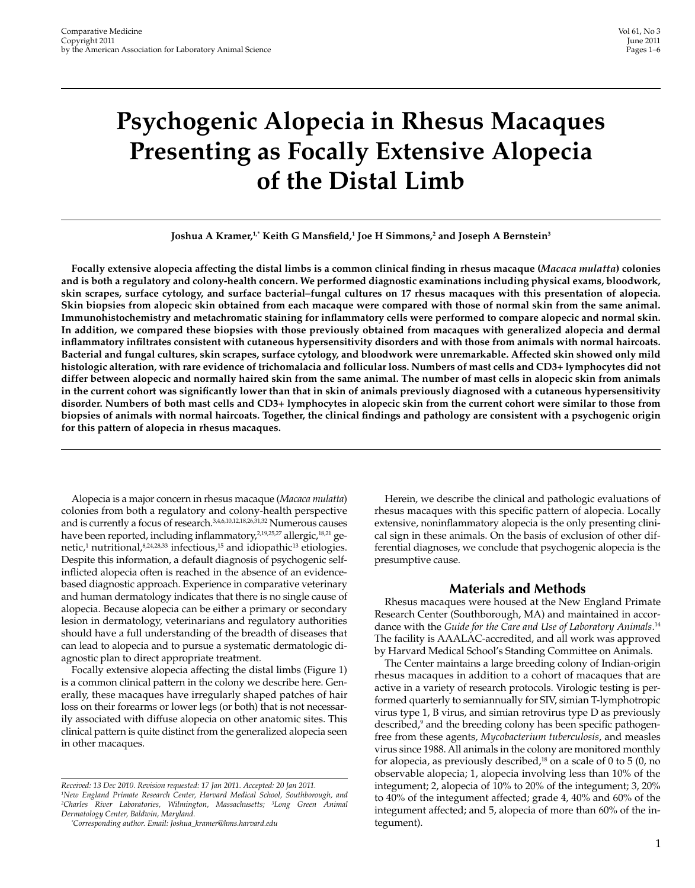# **Psychogenic Alopecia in Rhesus Macaques Presenting as Focally Extensive Alopecia of the Distal Limb**

#### **Joshua A Kramer,1,\* Keith G Mansfield,1 Joe H Simmons,2 and Joseph A Bernstein3**

**Focally extensive alopecia affecting the distal limbs is a common clinical finding in rhesus macaque (***Macaca mulatta***) colonies and is both a regulatory and colony-health concern. We performed diagnostic examinations including physical exams, bloodwork, skin scrapes, surface cytology, and surface bacterial–fungal cultures on 17 rhesus macaques with this presentation of alopecia. Skin biopsies from alopecic skin obtained from each macaque were compared with those of normal skin from the same animal. Immunohistochemistry and metachromatic staining for inflammatory cells were performed to compare alopecic and normal skin. In addition, we compared these biopsies with those previously obtained from macaques with generalized alopecia and dermal inflammatory infiltrates consistent with cutaneous hypersensitivity disorders and with those from animals with normal haircoats. Bacterial and fungal cultures, skin scrapes, surface cytology, and bloodwork were unremarkable. Affected skin showed only mild histologic alteration, with rare evidence of trichomalacia and follicular loss. Numbers of mast cells and CD3+ lymphocytes did not differ between alopecic and normally haired skin from the same animal. The number of mast cells in alopecic skin from animals in the current cohort was significantly lower than that in skin of animals previously diagnosed with a cutaneous hypersensitivity disorder. Numbers of both mast cells and CD3+ lymphocytes in alopecic skin from the current cohort were similar to those from biopsies of animals with normal haircoats. Together, the clinical findings and pathology are consistent with a psychogenic origin for this pattern of alopecia in rhesus macaques.**

Alopecia is a major concern in rhesus macaque (*Macaca mulatta*) colonies from both a regulatory and colony-health perspective and is currently a focus of research.3,4,6,10,12,18,26,31,32 Numerous causes have been reported, including inflammatory,<sup>2,19,25,27</sup> allergic,<sup>18,21</sup> genetic,<sup>1</sup> nutritional,<sup>8,24,28,33</sup> infectious,<sup>15</sup> and idiopathic<sup>13</sup> etiologies. Despite this information, a default diagnosis of psychogenic selfinflicted alopecia often is reached in the absence of an evidencebased diagnostic approach. Experience in comparative veterinary and human dermatology indicates that there is no single cause of alopecia. Because alopecia can be either a primary or secondary lesion in dermatology, veterinarians and regulatory authorities should have a full understanding of the breadth of diseases that can lead to alopecia and to pursue a systematic dermatologic diagnostic plan to direct appropriate treatment.

Focally extensive alopecia affecting the distal limbs (Figure 1) is a common clinical pattern in the colony we describe here. Generally, these macaques have irregularly shaped patches of hair loss on their forearms or lower legs (or both) that is not necessarily associated with diffuse alopecia on other anatomic sites. This clinical pattern is quite distinct from the generalized alopecia seen in other macaques.

Herein, we describe the clinical and pathologic evaluations of rhesus macaques with this specific pattern of alopecia. Locally extensive, noninflammatory alopecia is the only presenting clinical sign in these animals. On the basis of exclusion of other differential diagnoses, we conclude that psychogenic alopecia is the presumptive cause.

### **Materials and Methods**

Rhesus macaques were housed at the New England Primate Research Center (Southborough, MA) and maintained in accordance with the *Guide for the Care and Use of Laboratory Animals*. 14 The facility is AAALAC-accredited, and all work was approved by Harvard Medical School's Standing Committee on Animals.

The Center maintains a large breeding colony of Indian-origin rhesus macaques in addition to a cohort of macaques that are active in a variety of research protocols. Virologic testing is performed quarterly to semiannually for SIV, simian T-lymphotropic virus type 1, B virus, and simian retrovirus type D as previously described,<sup>9</sup> and the breeding colony has been specific pathogenfree from these agents, *Mycobacterium tuberculosis*, and measles virus since 1988. All animals in the colony are monitored monthly for alopecia, as previously described, $18$  on a scale of 0 to 5 (0, no observable alopecia; 1, alopecia involving less than 10% of the integument; 2, alopecia of 10% to 20% of the integument; 3, 20% to 40% of the integument affected; grade 4, 40% and 60% of the integument affected; and 5, alopecia of more than 60% of the integument).

*Received: 13 Dec 2010. Revision requested: 17 Jan 2011. Accepted: 20 Jan 2011. 1 New England Primate Research Center, Harvard Medical School, Southborough, and 2 Charles River Laboratories, Wilmington, Massachusetts; 3 Long Green Animal Dermatology Center, Baldwin, Maryland.*

*<sup>\*</sup> Corresponding author. Email: Joshua\_kramer@hms.harvard.edu*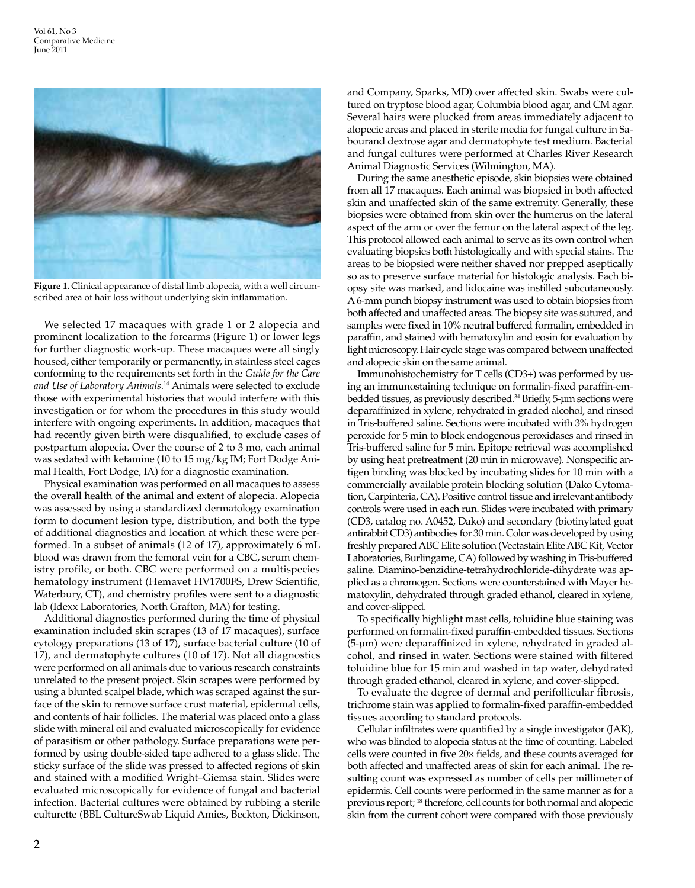

**Figure 1.** Clinical appearance of distal limb alopecia, with a well circumscribed area of hair loss without underlying skin inflammation.

We selected 17 macaques with grade 1 or 2 alopecia and prominent localization to the forearms (Figure 1) or lower legs for further diagnostic work-up. These macaques were all singly housed, either temporarily or permanently, in stainless steel cages conforming to the requirements set forth in the *Guide for the Care and Use of Laboratory Animals*. 14 Animals were selected to exclude those with experimental histories that would interfere with this investigation or for whom the procedures in this study would interfere with ongoing experiments. In addition, macaques that had recently given birth were disqualified, to exclude cases of postpartum alopecia. Over the course of 2 to 3 mo, each animal was sedated with ketamine (10 to 15 mg/kg IM; Fort Dodge Animal Health, Fort Dodge, IA) for a diagnostic examination.

Physical examination was performed on all macaques to assess the overall health of the animal and extent of alopecia. Alopecia was assessed by using a standardized dermatology examination form to document lesion type, distribution, and both the type of additional diagnostics and location at which these were performed. In a subset of animals (12 of 17), approximately 6 mL blood was drawn from the femoral vein for a CBC, serum chemistry profile, or both. CBC were performed on a multispecies hematology instrument (Hemavet HV1700FS, Drew Scientific, Waterbury, CT), and chemistry profiles were sent to a diagnostic lab (Idexx Laboratories, North Grafton, MA) for testing.

Additional diagnostics performed during the time of physical examination included skin scrapes (13 of 17 macaques), surface cytology preparations (13 of 17), surface bacterial culture (10 of 17), and dermatophyte cultures (10 of 17). Not all diagnostics were performed on all animals due to various research constraints unrelated to the present project. Skin scrapes were performed by using a blunted scalpel blade, which was scraped against the surface of the skin to remove surface crust material, epidermal cells, and contents of hair follicles. The material was placed onto a glass slide with mineral oil and evaluated microscopically for evidence of parasitism or other pathology. Surface preparations were performed by using double-sided tape adhered to a glass slide. The sticky surface of the slide was pressed to affected regions of skin and stained with a modified Wright–Giemsa stain. Slides were evaluated microscopically for evidence of fungal and bacterial infection. Bacterial cultures were obtained by rubbing a sterile culturette (BBL CultureSwab Liquid Amies, Beckton, Dickinson, and Company, Sparks, MD) over affected skin. Swabs were cultured on tryptose blood agar, Columbia blood agar, and CM agar. Several hairs were plucked from areas immediately adjacent to alopecic areas and placed in sterile media for fungal culture in Sabourand dextrose agar and dermatophyte test medium. Bacterial and fungal cultures were performed at Charles River Research Animal Diagnostic Services (Wilmington, MA).

During the same anesthetic episode, skin biopsies were obtained from all 17 macaques. Each animal was biopsied in both affected skin and unaffected skin of the same extremity. Generally, these biopsies were obtained from skin over the humerus on the lateral aspect of the arm or over the femur on the lateral aspect of the leg. This protocol allowed each animal to serve as its own control when evaluating biopsies both histologically and with special stains. The areas to be biopsied were neither shaved nor prepped aseptically so as to preserve surface material for histologic analysis. Each biopsy site was marked, and lidocaine was instilled subcutaneously. A 6-mm punch biopsy instrument was used to obtain biopsies from both affected and unaffected areas. The biopsy site was sutured, and samples were fixed in 10% neutral buffered formalin, embedded in paraffin, and stained with hematoxylin and eosin for evaluation by light microscopy. Hair cycle stage was compared between unaffected and alopecic skin on the same animal.

Immunohistochemistry for T cells (CD3+) was performed by using an immunostaining technique on formalin-fixed paraffin-embedded tissues, as previously described.<sup>34</sup> Briefly, 5-µm sections were deparaffinized in xylene, rehydrated in graded alcohol, and rinsed in Tris-buffered saline. Sections were incubated with 3% hydrogen peroxide for 5 min to block endogenous peroxidases and rinsed in Tris-buffered saline for 5 min. Epitope retrieval was accomplished by using heat pretreatment (20 min in microwave). Nonspecific antigen binding was blocked by incubating slides for 10 min with a commercially available protein blocking solution (Dako Cytomation, Carpinteria, CA). Positive control tissue and irrelevant antibody controls were used in each run. Slides were incubated with primary (CD3, catalog no. A0452, Dako) and secondary (biotinylated goat antirabbit CD3) antibodies for 30 min. Color was developed by using freshly prepared ABC Elite solution (Vectastain Elite ABC Kit, Vector Laboratories, Burlingame, CA) followed by washing in Tris-buffered saline. Diamino-benzidine-tetrahydrochloride-dihydrate was applied as a chromogen. Sections were counterstained with Mayer hematoxylin, dehydrated through graded ethanol, cleared in xylene, and cover-slipped.

To specifically highlight mast cells, toluidine blue staining was performed on formalin-fixed paraffin-embedded tissues. Sections (5-µm) were deparaffinized in xylene, rehydrated in graded alcohol, and rinsed in water. Sections were stained with filtered toluidine blue for 15 min and washed in tap water, dehydrated through graded ethanol, cleared in xylene, and cover-slipped.

To evaluate the degree of dermal and perifollicular fibrosis, trichrome stain was applied to formalin-fixed paraffin-embedded tissues according to standard protocols.

Cellular infiltrates were quantified by a single investigator (JAK), who was blinded to alopecia status at the time of counting. Labeled cells were counted in five 20× fields, and these counts averaged for both affected and unaffected areas of skin for each animal. The resulting count was expressed as number of cells per millimeter of epidermis. Cell counts were performed in the same manner as for a previous report; 18 therefore, cell counts for both normal and alopecic skin from the current cohort were compared with those previously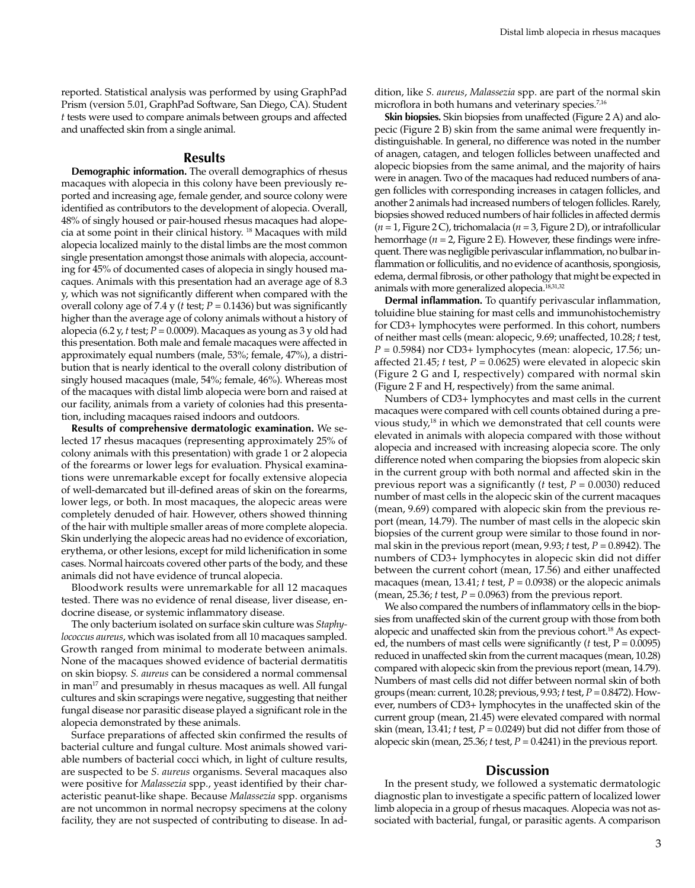reported. Statistical analysis was performed by using GraphPad Prism (version 5.01, GraphPad Software, San Diego, CA). Student *t* tests were used to compare animals between groups and affected and unaffected skin from a single animal.

### **Results**

**Demographic information.** The overall demographics of rhesus macaques with alopecia in this colony have been previously reported and increasing age, female gender, and source colony were identified as contributors to the development of alopecia. Overall, 48% of singly housed or pair-housed rhesus macaques had alopecia at some point in their clinical history. 18 Macaques with mild alopecia localized mainly to the distal limbs are the most common single presentation amongst those animals with alopecia, accounting for 45% of documented cases of alopecia in singly housed macaques. Animals with this presentation had an average age of 8.3 y, which was not significantly different when compared with the overall colony age of 7.4 y (*t* test; *P* = 0.1436) but was significantly higher than the average age of colony animals without a history of alopecia (6.2 y, *t* test; *P* = 0.0009). Macaques as young as 3 y old had this presentation. Both male and female macaques were affected in approximately equal numbers (male, 53%; female, 47%), a distribution that is nearly identical to the overall colony distribution of singly housed macaques (male, 54%; female, 46%). Whereas most of the macaques with distal limb alopecia were born and raised at our facility, animals from a variety of colonies had this presentation, including macaques raised indoors and outdoors.

**Results of comprehensive dermatologic examination.** We selected 17 rhesus macaques (representing approximately 25% of colony animals with this presentation) with grade 1 or 2 alopecia of the forearms or lower legs for evaluation. Physical examinations were unremarkable except for focally extensive alopecia of well-demarcated but ill-defined areas of skin on the forearms, lower legs, or both. In most macaques, the alopecic areas were completely denuded of hair. However, others showed thinning of the hair with multiple smaller areas of more complete alopecia. Skin underlying the alopecic areas had no evidence of excoriation, erythema, or other lesions, except for mild lichenification in some cases. Normal haircoats covered other parts of the body, and these animals did not have evidence of truncal alopecia.

Bloodwork results were unremarkable for all 12 macaques tested. There was no evidence of renal disease, liver disease, endocrine disease, or systemic inflammatory disease.

The only bacterium isolated on surface skin culture was *Staphylococcus aureus*, which was isolated from all 10 macaques sampled. Growth ranged from minimal to moderate between animals. None of the macaques showed evidence of bacterial dermatitis on skin biopsy. *S. aureus* can be considered a normal commensal in man $17$  and presumably in rhesus macaques as well. All fungal cultures and skin scrapings were negative, suggesting that neither fungal disease nor parasitic disease played a significant role in the alopecia demonstrated by these animals.

Surface preparations of affected skin confirmed the results of bacterial culture and fungal culture. Most animals showed variable numbers of bacterial cocci which, in light of culture results, are suspected to be *S. aureus* organisms. Several macaques also were positive for *Malassezia* spp., yeast identified by their characteristic peanut-like shape. Because *Malassezia* spp. organisms are not uncommon in normal necropsy specimens at the colony facility, they are not suspected of contributing to disease. In addition, like *S. aureus*, *Malassezia* spp. are part of the normal skin microflora in both humans and veterinary species.<sup>7,16</sup>

**Skin biopsies.** Skin biopsies from unaffected (Figure 2 A) and alopecic (Figure 2 B) skin from the same animal were frequently indistinguishable. In general, no difference was noted in the number of anagen, catagen, and telogen follicles between unaffected and alopecic biopsies from the same animal, and the majority of hairs were in anagen. Two of the macaques had reduced numbers of anagen follicles with corresponding increases in catagen follicles, and another 2 animals had increased numbers of telogen follicles. Rarely, biopsies showed reduced numbers of hair follicles in affected dermis (*n* = 1, Figure 2 C), trichomalacia (*n* = 3, Figure 2 D), or intrafollicular hemorrhage ( $n = 2$ , Figure 2 E). However, these findings were infrequent. There was negligible perivascular inflammation, no bulbar inflammation or folliculitis, and no evidence of acanthosis, spongiosis, edema, dermal fibrosis, or other pathology that might be expected in animals with more generalized alopecia.<sup>18,31,32</sup>

**Dermal inflammation.** To quantify perivascular inflammation, toluidine blue staining for mast cells and immunohistochemistry for CD3+ lymphocytes were performed. In this cohort, numbers of neither mast cells (mean: alopecic, 9.69; unaffected, 10.28; *t* test, *P* = 0.5984) nor CD3+ lymphocytes (mean: alopecic, 17.56; unaffected 21.45; *t* test, *P* = 0.0625) were elevated in alopecic skin (Figure 2 G and I, respectively) compared with normal skin (Figure 2 F and H, respectively) from the same animal.

Numbers of CD3+ lymphocytes and mast cells in the current macaques were compared with cell counts obtained during a previous study, $18$  in which we demonstrated that cell counts were elevated in animals with alopecia compared with those without alopecia and increased with increasing alopecia score. The only difference noted when comparing the biopsies from alopecic skin in the current group with both normal and affected skin in the previous report was a significantly (*t* test, *P* = 0.0030) reduced number of mast cells in the alopecic skin of the current macaques (mean, 9.69) compared with alopecic skin from the previous report (mean, 14.79). The number of mast cells in the alopecic skin biopsies of the current group were similar to those found in normal skin in the previous report (mean, 9.93; *t* test, *P* = 0.8942). The numbers of CD3+ lymphocytes in alopecic skin did not differ between the current cohort (mean, 17.56) and either unaffected macaques (mean, 13.41;  $t$  test,  $P = 0.0938$ ) or the alopecic animals (mean, 25.36;  $t$  test,  $P = 0.0963$ ) from the previous report.

We also compared the numbers of inflammatory cells in the biopsies from unaffected skin of the current group with those from both alopecic and unaffected skin from the previous cohort.<sup>18</sup> As expected, the numbers of mast cells were significantly ( $t$  test,  $P = 0.0095$ ) reduced in unaffected skin from the current macaques (mean, 10.28) compared with alopecic skin from the previous report (mean, 14.79). Numbers of mast cells did not differ between normal skin of both groups (mean: current, 10.28; previous, 9.93; *t* test, *P* = 0.8472). However, numbers of CD3+ lymphocytes in the unaffected skin of the current group (mean, 21.45) were elevated compared with normal skin (mean, 13.41; *t* test, *P* = 0.0249) but did not differ from those of alopecic skin (mean, 25.36;  $t$  test,  $P = 0.4241$ ) in the previous report.

## **Discussion**

In the present study, we followed a systematic dermatologic diagnostic plan to investigate a specific pattern of localized lower limb alopecia in a group of rhesus macaques. Alopecia was not associated with bacterial, fungal, or parasitic agents. A comparison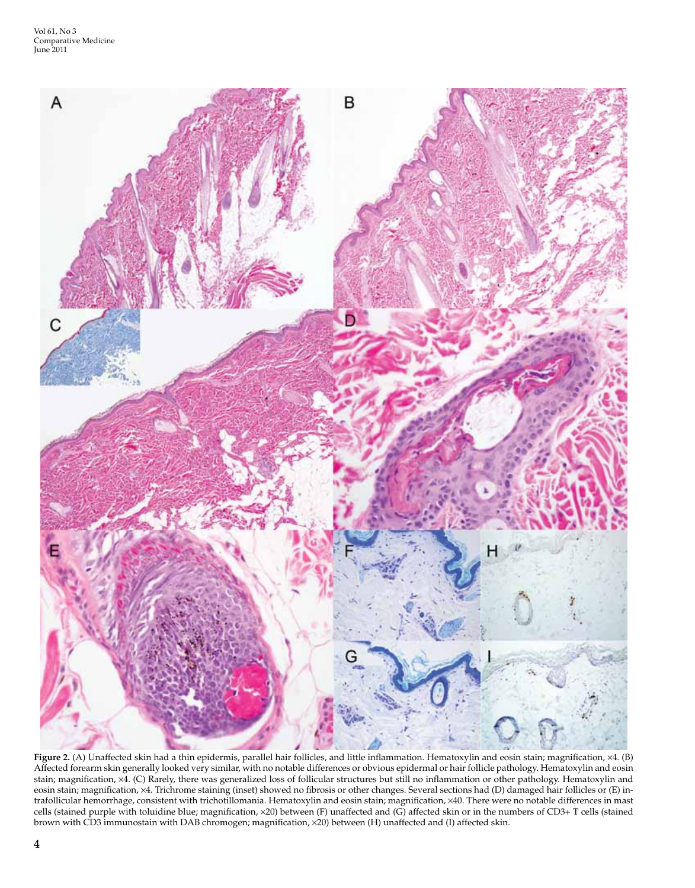

**Figure 2.** (A) Unaffected skin had a thin epidermis, parallel hair follicles, and little inflammation. Hematoxylin and eosin stain; magnification, ×4. (B) Affected forearm skin generally looked very similar, with no notable differences or obvious epidermal or hair follicle pathology. Hematoxylin and eosin stain; magnification, ×4. (C) Rarely, there was generalized loss of follicular structures but still no inflammation or other pathology. Hematoxylin and eosin stain; magnification, ×4. Trichrome staining (inset) showed no fibrosis or other changes. Several sections had (D) damaged hair follicles or (E) intrafollicular hemorrhage, consistent with trichotillomania. Hematoxylin and eosin stain; magnification, ×40. There were no notable differences in mast cells (stained purple with toluidine blue; magnification, ×20) between (F) unaffected and (G) affected skin or in the numbers of CD3+ T cells (stained brown with CD3 immunostain with DAB chromogen; magnification, ×20) between (H) unaffected and (I) affected skin.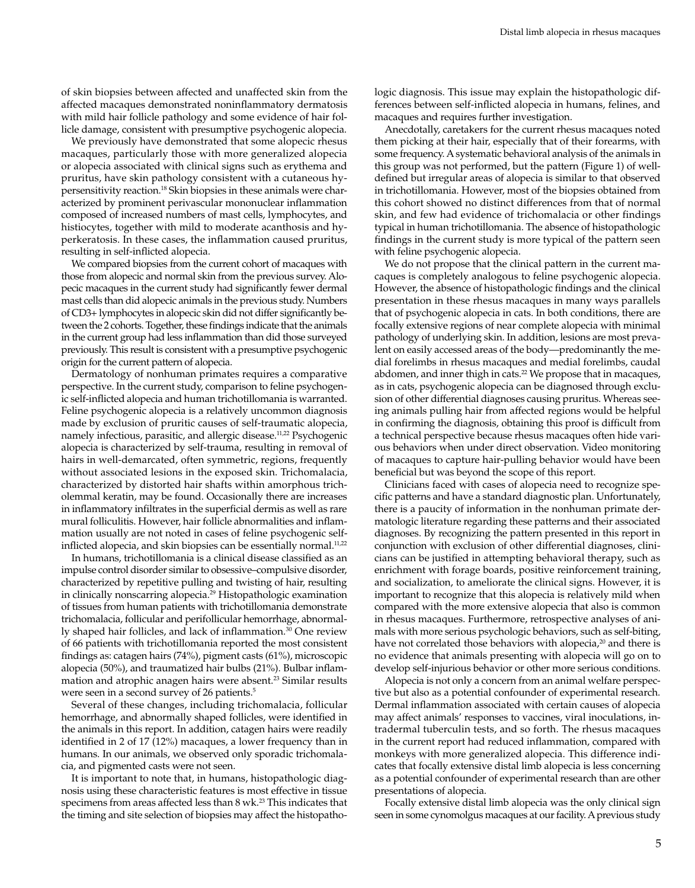of skin biopsies between affected and unaffected skin from the affected macaques demonstrated noninflammatory dermatosis with mild hair follicle pathology and some evidence of hair follicle damage, consistent with presumptive psychogenic alopecia.

We previously have demonstrated that some alopecic rhesus macaques, particularly those with more generalized alopecia or alopecia associated with clinical signs such as erythema and pruritus, have skin pathology consistent with a cutaneous hypersensitivity reaction.18 Skin biopsies in these animals were characterized by prominent perivascular mononuclear inflammation composed of increased numbers of mast cells, lymphocytes, and histiocytes, together with mild to moderate acanthosis and hyperkeratosis. In these cases, the inflammation caused pruritus, resulting in self-inflicted alopecia.

We compared biopsies from the current cohort of macaques with those from alopecic and normal skin from the previous survey. Alopecic macaques in the current study had significantly fewer dermal mast cells than did alopecic animals in the previous study. Numbers of CD3+ lymphocytes in alopecic skin did not differ significantly between the 2 cohorts. Together, these findings indicate that the animals in the current group had less inflammation than did those surveyed previously. This result is consistent with a presumptive psychogenic origin for the current pattern of alopecia.

Dermatology of nonhuman primates requires a comparative perspective. In the current study, comparison to feline psychogenic self-inflicted alopecia and human trichotillomania is warranted. Feline psychogenic alopecia is a relatively uncommon diagnosis made by exclusion of pruritic causes of self-traumatic alopecia, namely infectious, parasitic, and allergic disease.<sup>11,22</sup> Psychogenic alopecia is characterized by self-trauma, resulting in removal of hairs in well-demarcated, often symmetric, regions, frequently without associated lesions in the exposed skin. Trichomalacia, characterized by distorted hair shafts within amorphous tricholemmal keratin, may be found. Occasionally there are increases in inflammatory infiltrates in the superficial dermis as well as rare mural folliculitis. However, hair follicle abnormalities and inflammation usually are not noted in cases of feline psychogenic selfinflicted alopecia, and skin biopsies can be essentially normal.<sup>11,22</sup>

In humans, trichotillomania is a clinical disease classified as an impulse control disorder similar to obsessive–compulsive disorder, characterized by repetitive pulling and twisting of hair, resulting in clinically nonscarring alopecia.29 Histopathologic examination of tissues from human patients with trichotillomania demonstrate trichomalacia, follicular and perifollicular hemorrhage, abnormally shaped hair follicles, and lack of inflammation.<sup>30</sup> One review of 66 patients with trichotillomania reported the most consistent findings as: catagen hairs (74%), pigment casts (61%), microscopic alopecia (50%), and traumatized hair bulbs (21%). Bulbar inflammation and atrophic anagen hairs were absent.<sup>23</sup> Similar results were seen in a second survey of 26 patients.<sup>5</sup>

Several of these changes, including trichomalacia, follicular hemorrhage, and abnormally shaped follicles, were identified in the animals in this report. In addition, catagen hairs were readily identified in 2 of 17 (12%) macaques, a lower frequency than in humans. In our animals, we observed only sporadic trichomalacia, and pigmented casts were not seen.

It is important to note that, in humans, histopathologic diagnosis using these characteristic features is most effective in tissue specimens from areas affected less than 8 wk.23 This indicates that the timing and site selection of biopsies may affect the histopathologic diagnosis. This issue may explain the histopathologic differences between self-inflicted alopecia in humans, felines, and macaques and requires further investigation.

Anecdotally, caretakers for the current rhesus macaques noted them picking at their hair, especially that of their forearms, with some frequency. A systematic behavioral analysis of the animals in this group was not performed, but the pattern (Figure 1) of welldefined but irregular areas of alopecia is similar to that observed in trichotillomania. However, most of the biopsies obtained from this cohort showed no distinct differences from that of normal skin, and few had evidence of trichomalacia or other findings typical in human trichotillomania. The absence of histopathologic findings in the current study is more typical of the pattern seen with feline psychogenic alopecia.

We do not propose that the clinical pattern in the current macaques is completely analogous to feline psychogenic alopecia. However, the absence of histopathologic findings and the clinical presentation in these rhesus macaques in many ways parallels that of psychogenic alopecia in cats. In both conditions, there are focally extensive regions of near complete alopecia with minimal pathology of underlying skin. In addition, lesions are most prevalent on easily accessed areas of the body—predominantly the medial forelimbs in rhesus macaques and medial forelimbs, caudal abdomen, and inner thigh in cats.<sup>22</sup> We propose that in macaques, as in cats, psychogenic alopecia can be diagnosed through exclusion of other differential diagnoses causing pruritus. Whereas seeing animals pulling hair from affected regions would be helpful in confirming the diagnosis, obtaining this proof is difficult from a technical perspective because rhesus macaques often hide various behaviors when under direct observation. Video monitoring of macaques to capture hair-pulling behavior would have been beneficial but was beyond the scope of this report.

Clinicians faced with cases of alopecia need to recognize specific patterns and have a standard diagnostic plan. Unfortunately, there is a paucity of information in the nonhuman primate dermatologic literature regarding these patterns and their associated diagnoses. By recognizing the pattern presented in this report in conjunction with exclusion of other differential diagnoses, clinicians can be justified in attempting behavioral therapy, such as enrichment with forage boards, positive reinforcement training, and socialization, to ameliorate the clinical signs. However, it is important to recognize that this alopecia is relatively mild when compared with the more extensive alopecia that also is common in rhesus macaques. Furthermore, retrospective analyses of animals with more serious psychologic behaviors, such as self-biting, have not correlated those behaviors with alopecia,<sup>20</sup> and there is no evidence that animals presenting with alopecia will go on to develop self-injurious behavior or other more serious conditions.

Alopecia is not only a concern from an animal welfare perspective but also as a potential confounder of experimental research. Dermal inflammation associated with certain causes of alopecia may affect animals' responses to vaccines, viral inoculations, intradermal tuberculin tests, and so forth. The rhesus macaques in the current report had reduced inflammation, compared with monkeys with more generalized alopecia. This difference indicates that focally extensive distal limb alopecia is less concerning as a potential confounder of experimental research than are other presentations of alopecia.

Focally extensive distal limb alopecia was the only clinical sign seen in some cynomolgus macaques at our facility. A previous study